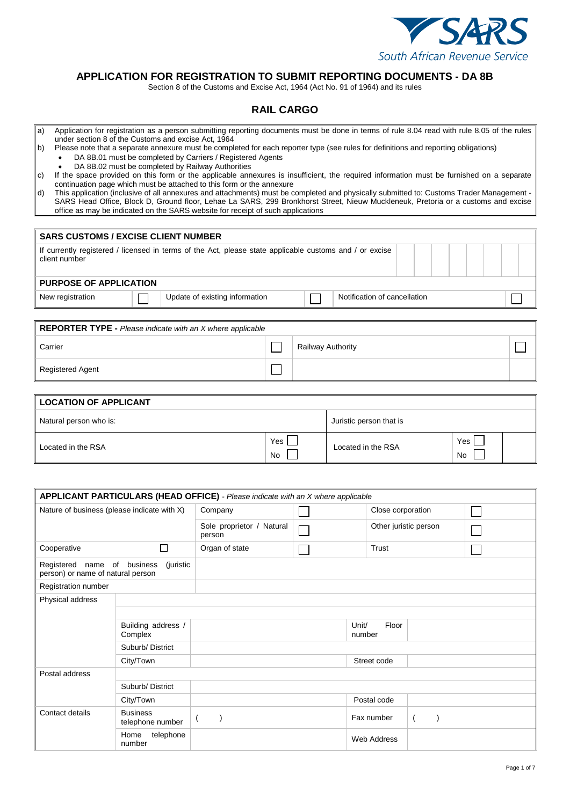

#### **APPLICATION FOR REGISTRATION TO SUBMIT REPORTING DOCUMENTS - DA 8B**

Section 8 of the Customs and Excise Act, 1964 (Act No. 91 of 1964) and its rules

### **RAIL CARGO**

- a) Application for registration as a person submitting reporting documents must be done in terms of rule 8.04 read with rule 8.05 of the rules under section 8 of the Customs and excise Act, 1964
- b) Please note that a separate annexure must be completed for each reporter type (see rules for definitions and reporting obligations)
	- DA 8B.01 must be completed by Carriers / Registered Agents
		- DA 8B.02 must be completed by Railway Authorities
- c) If the space provided on this form or the applicable annexures is insufficient, the required information must be furnished on a separate continuation page which must be attached to this form or the annexure

d) This application (inclusive of all annexures and attachments) must be completed and physically submitted to: Customs Trader Management - SARS Head Office, Block D, Ground floor, Lehae La SARS, 299 Bronkhorst Street, Nieuw Muckleneuk, Pretoria or a customs and excise office as may be indicated on the SARS website for receipt of such applications

|                               | <b>SARS CUSTOMS / EXCISE CLIENT NUMBER</b> |                                                                                                         |  |                              |  |  |  |  |  |  |
|-------------------------------|--------------------------------------------|---------------------------------------------------------------------------------------------------------|--|------------------------------|--|--|--|--|--|--|
| client number                 |                                            | If currently registered / licensed in terms of the Act, please state applicable customs and / or excise |  |                              |  |  |  |  |  |  |
| <b>PURPOSE OF APPLICATION</b> |                                            |                                                                                                         |  |                              |  |  |  |  |  |  |
| New registration              |                                            | Update of existing information                                                                          |  | Notification of cancellation |  |  |  |  |  |  |
|                               |                                            |                                                                                                         |  |                              |  |  |  |  |  |  |

| REPORTER TYPE - Please indicate with an X where applicable |  |                          |  |  |  |  |  |  |  |
|------------------------------------------------------------|--|--------------------------|--|--|--|--|--|--|--|
| Carrier                                                    |  | <b>Railway Authority</b> |  |  |  |  |  |  |  |
| <b>Registered Agent</b>                                    |  |                          |  |  |  |  |  |  |  |

| <b>LOCATION OF APPLICANT</b> |                  |                         |           |
|------------------------------|------------------|-------------------------|-----------|
| Natural person who is:       |                  | Juristic person that is |           |
| Located in the RSA           | Yes<br><b>No</b> | Located in the RSA      | Yes<br>No |

|                                                                  |                                     | APPLICANT PARTICULARS (HEAD OFFICE) - Please indicate with an X where applicable |                          |                |  |
|------------------------------------------------------------------|-------------------------------------|----------------------------------------------------------------------------------|--------------------------|----------------|--|
| Nature of business (please indicate with X)                      |                                     | Company                                                                          | Close corporation        |                |  |
|                                                                  |                                     | Sole proprietor / Natural<br>person                                              | Other juristic person    |                |  |
| Cooperative                                                      | П                                   | Organ of state                                                                   | Trust                    |                |  |
| Registered name of business<br>person) or name of natural person | (juristic                           |                                                                                  |                          |                |  |
| Registration number                                              |                                     |                                                                                  |                          |                |  |
| Physical address                                                 |                                     |                                                                                  |                          |                |  |
|                                                                  |                                     |                                                                                  |                          |                |  |
|                                                                  | Building address /<br>Complex       |                                                                                  | Unit/<br>Floor<br>number |                |  |
|                                                                  | Suburb/District                     |                                                                                  |                          |                |  |
|                                                                  | City/Town                           |                                                                                  | Street code              |                |  |
| Postal address                                                   |                                     |                                                                                  |                          |                |  |
|                                                                  | Suburb/District                     |                                                                                  |                          |                |  |
|                                                                  | City/Town                           |                                                                                  | Postal code              |                |  |
| Contact details                                                  | <b>Business</b><br>telephone number | $\left($                                                                         | Fax number               | $\overline{ }$ |  |
|                                                                  | telephone<br>Home<br>number         |                                                                                  | <b>Web Address</b>       |                |  |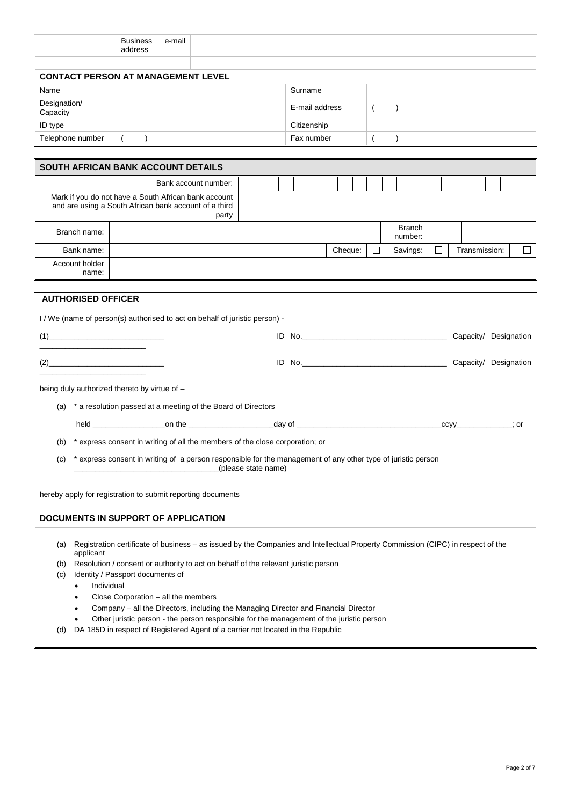|                                           | e-mail<br><b>Business</b><br>address |                |  |  |
|-------------------------------------------|--------------------------------------|----------------|--|--|
|                                           |                                      |                |  |  |
| <b>CONTACT PERSON AT MANAGEMENT LEVEL</b> |                                      |                |  |  |
| Name                                      |                                      | Surname        |  |  |
| Designation/<br>Capacity                  |                                      | E-mail address |  |  |
| ID type                                   |                                      | Citizenship    |  |  |
| Telephone number                          |                                      | Fax number     |  |  |

|                         | <b>SOUTH AFRICAN BANK ACCOUNT DETAILS</b>                                                                              |  |  |  |         |  |         |               |                             |  |               |  |
|-------------------------|------------------------------------------------------------------------------------------------------------------------|--|--|--|---------|--|---------|---------------|-----------------------------|--|---------------|--|
|                         | Bank account number:                                                                                                   |  |  |  |         |  |         |               |                             |  |               |  |
|                         | Mark if you do not have a South African bank account<br>and are using a South African bank account of a third<br>party |  |  |  |         |  |         |               |                             |  |               |  |
| Branch name:            |                                                                                                                        |  |  |  |         |  | number: | <b>Branch</b> |                             |  |               |  |
| Bank name:              |                                                                                                                        |  |  |  | Cheque: |  |         | Savings:      | $\mathcal{L}_{\mathcal{A}}$ |  | Transmission: |  |
| Account holder<br>name: |                                                                                                                        |  |  |  |         |  |         |               |                             |  |               |  |

# **AUTHORISED OFFICER**  I / We (name of person(s) authorised to act on behalf of juristic person) - (1)\_\_\_\_\_\_\_\_\_\_\_\_\_\_\_\_\_\_\_\_\_\_\_\_\_\_\_ ID No.\_\_\_\_\_\_\_\_\_\_\_\_\_\_\_\_\_\_\_\_\_\_\_\_\_\_\_\_\_\_\_\_\_\_ Capacity/ Designation \_\_\_\_\_\_\_\_\_\_\_\_\_\_\_\_\_\_\_\_\_\_\_\_\_ (2) Capacity/ Designation (2) \_\_\_\_\_\_\_\_\_\_\_\_\_\_\_\_\_\_\_\_\_\_\_\_\_ being duly authorized thereto by virtue of – (a) \* a resolution passed at a meeting of the Board of Directors held \_\_\_\_\_\_\_\_\_\_\_\_\_\_\_\_\_on the \_\_\_\_\_\_\_\_\_\_\_\_\_\_\_\_\_\_\_\_day of \_\_\_\_\_\_\_\_\_\_\_\_\_\_\_\_\_\_\_\_\_\_\_\_\_\_\_\_\_\_\_\_\_\_ccyy\_\_\_\_\_\_\_\_\_\_\_\_\_; or (b) \* express consent in writing of all the members of the close corporation; or (c) \* express consent in writing of a person responsible for the management of any other type of juristic person \_\_\_\_\_\_\_\_\_\_\_\_\_\_\_\_\_\_\_\_\_\_\_\_\_\_\_\_\_\_\_\_\_\_(please state name) hereby apply for registration to submit reporting documents **DOCUMENTS IN SUPPORT OF APPLICATION** (a) Registration certificate of business – as issued by the Companies and Intellectual Property Commission (CIPC) in respect of the applicant (b) Resolution / consent or authority to act on behalf of the relevant juristic person (c) Identity / Passport documents of • Individual • Close Corporation – all the members • Company – all the Directors, including the Managing Director and Financial Director

- Other juristic person the person responsible for the management of the juristic person
- (d) DA 185D in respect of Registered Agent of a carrier not located in the Republic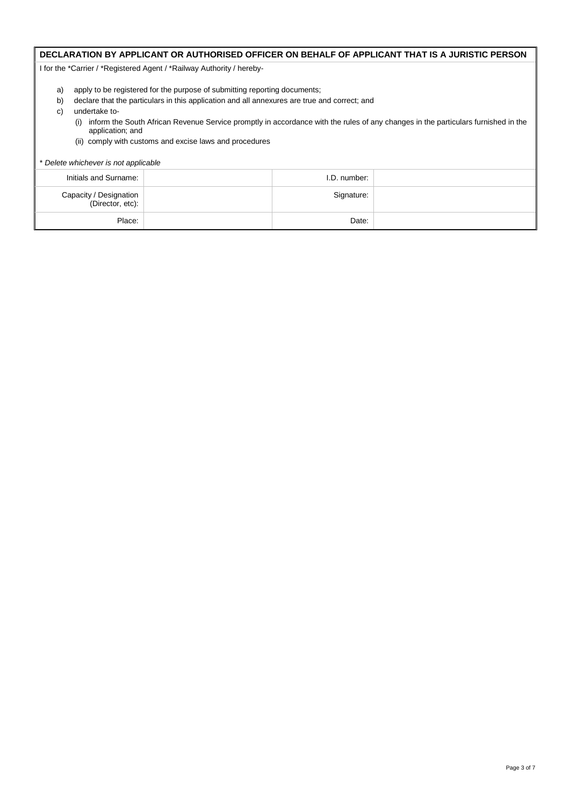|                                            | DECLARATION BY APPLICANT OR AUTHORISED OFFICER ON BEHALF OF APPLICANT THAT IS A JURISTIC PERSON                                   |              |  |  |  |  |  |  |  |  |
|--------------------------------------------|-----------------------------------------------------------------------------------------------------------------------------------|--------------|--|--|--|--|--|--|--|--|
|                                            | I for the *Carrier / *Registered Agent / *Railway Authority / hereby-                                                             |              |  |  |  |  |  |  |  |  |
| a)                                         | apply to be registered for the purpose of submitting reporting documents;                                                         |              |  |  |  |  |  |  |  |  |
| b)                                         | declare that the particulars in this application and all annexures are true and correct; and                                      |              |  |  |  |  |  |  |  |  |
| undertake to-<br>C)                        |                                                                                                                                   |              |  |  |  |  |  |  |  |  |
| (i)<br>application; and                    | inform the South African Revenue Service promptly in accordance with the rules of any changes in the particulars furnished in the |              |  |  |  |  |  |  |  |  |
|                                            | (ii) comply with customs and excise laws and procedures                                                                           |              |  |  |  |  |  |  |  |  |
| Delete whichever is not applicable         |                                                                                                                                   |              |  |  |  |  |  |  |  |  |
| Initials and Surname:                      |                                                                                                                                   | I.D. number: |  |  |  |  |  |  |  |  |
| Capacity / Designation<br>(Director, etc): | Signature:                                                                                                                        |              |  |  |  |  |  |  |  |  |
| Place:                                     |                                                                                                                                   | Date:        |  |  |  |  |  |  |  |  |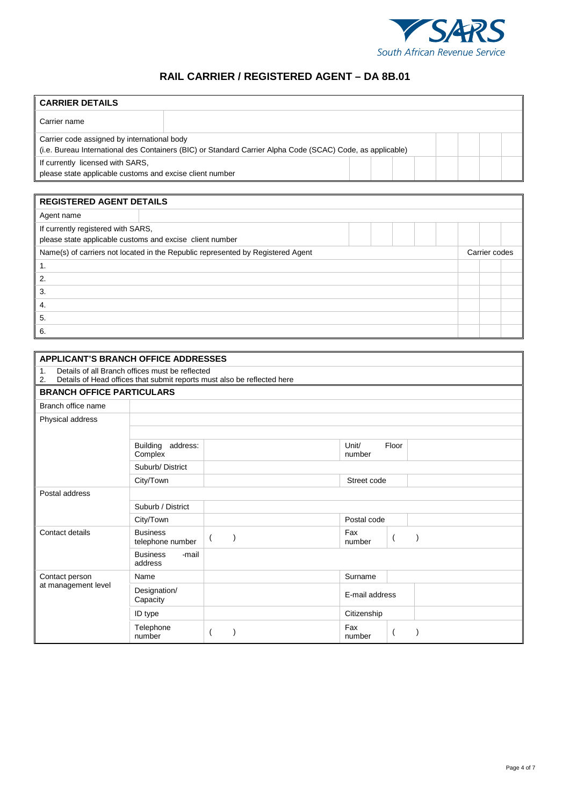

## **RAIL CARRIER / REGISTERED AGENT – DA 8B.01**

| <b>CARRIER DETAILS</b>                                                                       |                                                                                                                                                           |  |  |  |  |  |  |  |  |
|----------------------------------------------------------------------------------------------|-----------------------------------------------------------------------------------------------------------------------------------------------------------|--|--|--|--|--|--|--|--|
| Carrier name                                                                                 |                                                                                                                                                           |  |  |  |  |  |  |  |  |
|                                                                                              | Carrier code assigned by international body<br>(i.e. Bureau International des Containers (BIC) or Standard Carrier Alpha Code (SCAC) Code, as applicable) |  |  |  |  |  |  |  |  |
| If currently licensed with SARS,<br>please state applicable customs and excise client number |                                                                                                                                                           |  |  |  |  |  |  |  |  |

| <b>REGISTERED AGENT DETAILS</b>                                                                |                                                                                 |  |  |  |               |  |
|------------------------------------------------------------------------------------------------|---------------------------------------------------------------------------------|--|--|--|---------------|--|
| Agent name                                                                                     |                                                                                 |  |  |  |               |  |
| If currently registered with SARS,<br>please state applicable customs and excise client number |                                                                                 |  |  |  |               |  |
|                                                                                                | Name(s) of carriers not located in the Republic represented by Registered Agent |  |  |  | Carrier codes |  |
|                                                                                                |                                                                                 |  |  |  |               |  |
| $\overline{2}$ .                                                                               |                                                                                 |  |  |  |               |  |
| 3.                                                                                             |                                                                                 |  |  |  |               |  |
| -4.                                                                                            |                                                                                 |  |  |  |               |  |
| -5.                                                                                            |                                                                                 |  |  |  |               |  |
| 6.                                                                                             |                                                                                 |  |  |  |               |  |

| <b>APPLICANT'S BRANCH OFFICE ADDRESSES</b>                                                                                             |                                        |  |                                 |  |  |  |  |  |  |
|----------------------------------------------------------------------------------------------------------------------------------------|----------------------------------------|--|---------------------------------|--|--|--|--|--|--|
| Details of all Branch offices must be reflected<br>1.<br>Details of Head offices that submit reports must also be reflected here<br>2. |                                        |  |                                 |  |  |  |  |  |  |
| <b>BRANCH OFFICE PARTICULARS</b>                                                                                                       |                                        |  |                                 |  |  |  |  |  |  |
| Branch office name                                                                                                                     |                                        |  |                                 |  |  |  |  |  |  |
| Physical address                                                                                                                       |                                        |  |                                 |  |  |  |  |  |  |
|                                                                                                                                        |                                        |  |                                 |  |  |  |  |  |  |
|                                                                                                                                        | <b>Building</b><br>address:<br>Complex |  | Floor<br>Unit/<br>number        |  |  |  |  |  |  |
|                                                                                                                                        | Suburb/District                        |  |                                 |  |  |  |  |  |  |
|                                                                                                                                        | City/Town                              |  | Street code                     |  |  |  |  |  |  |
| Postal address                                                                                                                         |                                        |  |                                 |  |  |  |  |  |  |
|                                                                                                                                        | Suburb / District                      |  |                                 |  |  |  |  |  |  |
|                                                                                                                                        | City/Town                              |  | Postal code                     |  |  |  |  |  |  |
| Contact details                                                                                                                        | <b>Business</b><br>telephone number    |  | Fax<br>$\overline{ }$<br>number |  |  |  |  |  |  |
|                                                                                                                                        | <b>Business</b><br>-mail<br>address    |  |                                 |  |  |  |  |  |  |
| Contact person                                                                                                                         | Name                                   |  | Surname                         |  |  |  |  |  |  |
| at management level                                                                                                                    | Designation/<br>Capacity               |  | E-mail address                  |  |  |  |  |  |  |
|                                                                                                                                        | ID type                                |  | Citizenship                     |  |  |  |  |  |  |
|                                                                                                                                        | Telephone<br>number                    |  | Fax<br>number                   |  |  |  |  |  |  |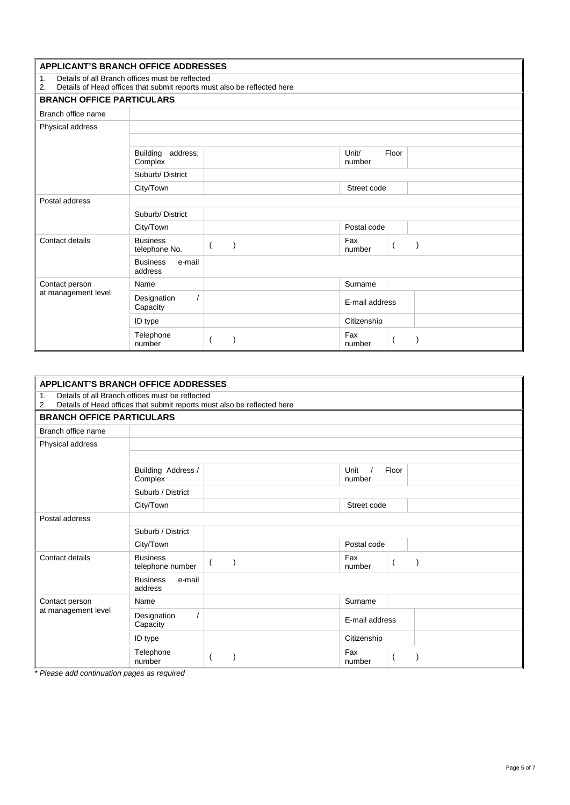| <b>APPLICANT'S BRANCH OFFICE ADDRESSES</b> |                                                 |                                                                         |                                 |  |
|--------------------------------------------|-------------------------------------------------|-------------------------------------------------------------------------|---------------------------------|--|
| 1.<br>2.                                   | Details of all Branch offices must be reflected | Details of Head offices that submit reports must also be reflected here |                                 |  |
| <b>BRANCH OFFICE PARTICULARS</b>           |                                                 |                                                                         |                                 |  |
| Branch office name                         |                                                 |                                                                         |                                 |  |
| Physical address                           |                                                 |                                                                         |                                 |  |
|                                            |                                                 |                                                                         |                                 |  |
|                                            | address;<br><b>Building</b><br>Complex          |                                                                         | Unit/<br>Floor<br>number        |  |
|                                            | Suburb/District                                 |                                                                         |                                 |  |
|                                            | City/Town                                       |                                                                         | Street code                     |  |
| Postal address                             |                                                 |                                                                         |                                 |  |
|                                            | Suburb/District                                 |                                                                         |                                 |  |
|                                            | City/Town                                       |                                                                         | Postal code                     |  |
| Contact details                            | <b>Business</b><br>telephone No.                |                                                                         | Fax<br>$\overline{ }$<br>number |  |
|                                            | <b>Business</b><br>e-mail<br>address            |                                                                         |                                 |  |
| Contact person                             | Name                                            |                                                                         | Surname                         |  |
| at management level                        | Designation<br>Capacity                         |                                                                         | E-mail address                  |  |
|                                            | ID type                                         |                                                                         | Citizenship                     |  |
|                                            | Telephone<br>number                             |                                                                         | Fax<br>number                   |  |

| <b>APPLICANT'S BRANCH OFFICE ADDRESSES</b> |                                                                                                                            |                |                         |  |  |  |  |  |  |  |
|--------------------------------------------|----------------------------------------------------------------------------------------------------------------------------|----------------|-------------------------|--|--|--|--|--|--|--|
| 1.<br>2.                                   | Details of all Branch offices must be reflected<br>Details of Head offices that submit reports must also be reflected here |                |                         |  |  |  |  |  |  |  |
|                                            | <b>BRANCH OFFICE PARTICULARS</b>                                                                                           |                |                         |  |  |  |  |  |  |  |
| Branch office name                         |                                                                                                                            |                |                         |  |  |  |  |  |  |  |
| Physical address                           |                                                                                                                            |                |                         |  |  |  |  |  |  |  |
|                                            |                                                                                                                            |                |                         |  |  |  |  |  |  |  |
|                                            | Building Address /<br>Complex                                                                                              |                | Floor<br>Unit<br>number |  |  |  |  |  |  |  |
|                                            | Suburb / District                                                                                                          |                |                         |  |  |  |  |  |  |  |
|                                            | City/Town                                                                                                                  |                | Street code             |  |  |  |  |  |  |  |
| Postal address                             |                                                                                                                            |                |                         |  |  |  |  |  |  |  |
|                                            | Suburb / District                                                                                                          |                |                         |  |  |  |  |  |  |  |
|                                            | City/Town                                                                                                                  |                | Postal code             |  |  |  |  |  |  |  |
| Contact details                            | <b>Business</b><br>telephone number                                                                                        | $\overline{ }$ | Fax<br>number           |  |  |  |  |  |  |  |
|                                            | <b>Business</b><br>e-mail<br>address                                                                                       |                |                         |  |  |  |  |  |  |  |
| Contact person                             | Name                                                                                                                       |                | Surname                 |  |  |  |  |  |  |  |
| at management level                        | Designation<br>$\prime$<br>Capacity                                                                                        |                | E-mail address          |  |  |  |  |  |  |  |
|                                            | ID type                                                                                                                    |                | Citizenship             |  |  |  |  |  |  |  |
|                                            | Telephone<br>number                                                                                                        |                | Fax<br>number           |  |  |  |  |  |  |  |

*\* Please add continuation pages as required*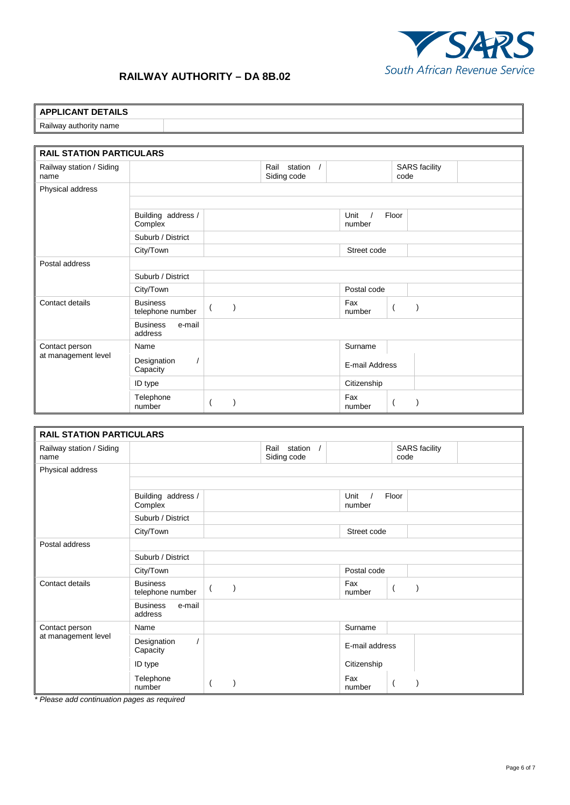

### **RAILWAY AUTHORITY – DA 8B.02**

| <b>APPLICANT DETAILS</b> |  |
|--------------------------|--|
| Railway authority name   |  |
|                          |  |

| <b>RAIL STATION PARTICULARS</b>       |                                           |                                         |                                                     |
|---------------------------------------|-------------------------------------------|-----------------------------------------|-----------------------------------------------------|
| Railway station / Siding<br>name      |                                           | Rail station<br>$\prime$<br>Siding code | <b>SARS</b> facility<br>code                        |
| Physical address                      |                                           |                                         |                                                     |
|                                       |                                           |                                         |                                                     |
|                                       | Building address /<br>Complex             |                                         | Floor<br>Unit<br>$\overline{\phantom{a}}$<br>number |
|                                       | Suburb / District                         |                                         |                                                     |
|                                       | City/Town                                 |                                         | Street code                                         |
| Postal address                        |                                           |                                         |                                                     |
|                                       | Suburb / District                         |                                         |                                                     |
|                                       | City/Town                                 |                                         | Postal code                                         |
| Contact details                       | <b>Business</b><br>telephone number       | $\overline{ }$                          | Fax<br>$\overline{ }$<br>number                     |
|                                       | <b>Business</b><br>e-mail<br>address      |                                         |                                                     |
| Contact person<br>at management level | Name                                      |                                         | Surname                                             |
|                                       | Designation<br>$\overline{1}$<br>Capacity |                                         | E-mail Address                                      |
|                                       | ID type                                   |                                         | Citizenship                                         |
|                                       | Telephone<br>number                       |                                         | Fax<br>number                                       |

| <b>RAIL STATION PARTICULARS</b>       |                                      |          |                                           |                                     |                              |
|---------------------------------------|--------------------------------------|----------|-------------------------------------------|-------------------------------------|------------------------------|
| Railway station / Siding<br>name      |                                      |          | Rail station<br>$\sqrt{ }$<br>Siding code |                                     | <b>SARS</b> facility<br>code |
| Physical address                      |                                      |          |                                           |                                     |                              |
|                                       | Building address /<br>Complex        |          |                                           | Floor<br>Unit<br>$\prime$<br>number |                              |
|                                       | Suburb / District                    |          |                                           |                                     |                              |
|                                       | City/Town                            |          |                                           | Street code                         |                              |
| Postal address                        |                                      |          |                                           |                                     |                              |
|                                       | Suburb / District                    |          |                                           |                                     |                              |
|                                       | City/Town                            |          |                                           | Postal code                         |                              |
| Contact details                       | <b>Business</b><br>telephone number  | $\left($ |                                           | Fax<br>number                       |                              |
|                                       | e-mail<br><b>Business</b><br>address |          |                                           |                                     |                              |
| Contact person<br>at management level | Name                                 |          |                                           | Surname                             |                              |
|                                       | Designation<br>$\prime$<br>Capacity  |          |                                           | E-mail address                      |                              |
|                                       | ID type                              |          |                                           | Citizenship                         |                              |
|                                       | Telephone<br>number                  |          |                                           | Fax<br>number                       |                              |

*\* Please add continuation pages as required*